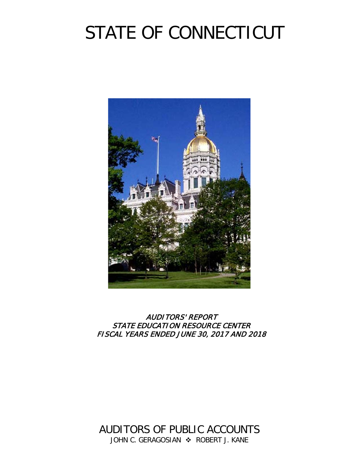# STATE OF CONNECTICUT



# AUDITORS' REPORT STATE EDUCATION RESOURCE CENTER FISCAL YEARS ENDED JUNE 30, 2017 AND 2018

AUDITORS OF PUBLIC ACCOUNTS JOHN C. GERAGOSIAN  $\div$  ROBERT J. KANE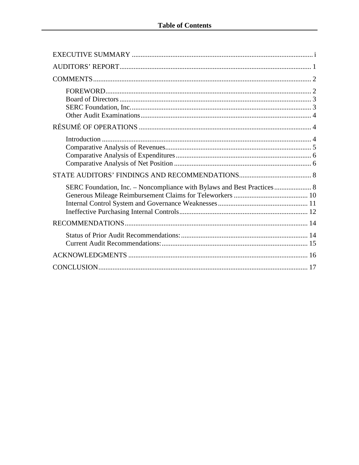| SERC Foundation, Inc. - Noncompliance with Bylaws and Best Practices 8 |
|------------------------------------------------------------------------|
|                                                                        |
|                                                                        |
|                                                                        |
|                                                                        |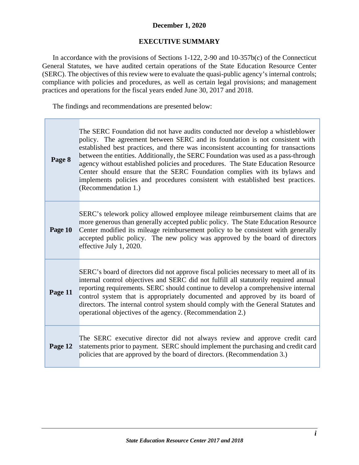# **December 1, 2020**

# **EXECUTIVE SUMMARY**

<span id="page-2-0"></span>In accordance with the provisions of Sections 1-122, 2-90 and 10-357b(c) of the Connecticut General Statutes, we have audited certain operations of the State Education Resource Center (SERC). The objectives of this review were to evaluate the quasi-public agency's internal controls; compliance with policies and procedures, as well as certain legal provisions; and management practices and operations for the fiscal years ended June 30, 2017 and 2018.

The findings and recommendations are presented below:

| Page 8  | The SERC Foundation did not have audits conducted nor develop a whistleblower<br>policy. The agreement between SERC and its foundation is not consistent with<br>established best practices, and there was inconsistent accounting for transactions<br>between the entities. Additionally, the SERC Foundation was used as a pass-through<br>agency without established policies and procedures. The State Education Resource<br>Center should ensure that the SERC Foundation complies with its bylaws and<br>implements policies and procedures consistent with established best practices.<br>(Recommendation 1.) |
|---------|----------------------------------------------------------------------------------------------------------------------------------------------------------------------------------------------------------------------------------------------------------------------------------------------------------------------------------------------------------------------------------------------------------------------------------------------------------------------------------------------------------------------------------------------------------------------------------------------------------------------|
| Page 10 | SERC's telework policy allowed employee mileage reimbursement claims that are<br>more generous than generally accepted public policy. The State Education Resource<br>Center modified its mileage reimbursement policy to be consistent with generally<br>accepted public policy. The new policy was approved by the board of directors<br>effective July 1, 2020.                                                                                                                                                                                                                                                   |
| Page 11 | SERC's board of directors did not approve fiscal policies necessary to meet all of its<br>internal control objectives and SERC did not fulfill all statutorily required annual<br>reporting requirements. SERC should continue to develop a comprehensive internal<br>control system that is appropriately documented and approved by its board of<br>directors. The internal control system should comply with the General Statutes and<br>operational objectives of the agency. (Recommendation 2.)                                                                                                                |
| Page 12 | The SERC executive director did not always review and approve credit card<br>statements prior to payment. SERC should implement the purchasing and credit card<br>policies that are approved by the board of directors. (Recommendation 3.)                                                                                                                                                                                                                                                                                                                                                                          |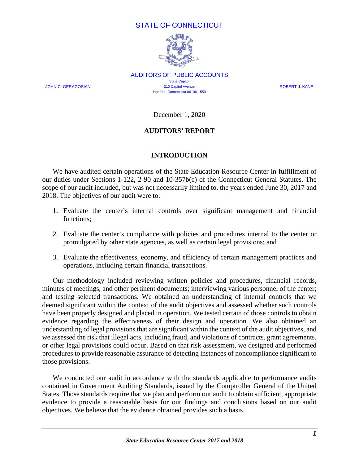# STATE OF CONNECTICUT



AUDITORS OF PUBLIC ACCOUNTS State Capitol JOHN C. GERAGOSIAN 210 Capitol Avenue ROBERT J. KANE Hartford, Connecticut 06106-1559

December 1, 2020

## **AUDITORS' REPORT**

#### **INTRODUCTION**

<span id="page-3-0"></span>We have audited certain operations of the State Education Resource Center in fulfillment of our duties under Sections 1-122, 2-90 and 10-357b(c) of the Connecticut General Statutes. The scope of our audit included, but was not necessarily limited to, the years ended June 30, 2017 and 2018. The objectives of our audit were to:

- 1. Evaluate the center's internal controls over significant management and financial functions;
- 2. Evaluate the center's compliance with policies and procedures internal to the center or promulgated by other state agencies, as well as certain legal provisions; and
- 3. Evaluate the effectiveness, economy, and efficiency of certain management practices and operations, including certain financial transactions.

Our methodology included reviewing written policies and procedures, financial records, minutes of meetings, and other pertinent documents; interviewing various personnel of the center; and testing selected transactions. We obtained an understanding of internal controls that we deemed significant within the context of the audit objectives and assessed whether such controls have been properly designed and placed in operation. We tested certain of those controls to obtain evidence regarding the effectiveness of their design and operation. We also obtained an understanding of legal provisions that are significant within the context of the audit objectives, and we assessed the risk that illegal acts, including fraud, and violations of contracts, grant agreements, or other legal provisions could occur. Based on that risk assessment, we designed and performed procedures to provide reasonable assurance of detecting instances of noncompliance significant to those provisions.

We conducted our audit in accordance with the standards applicable to performance audits contained in Government Auditing Standards, issued by the Comptroller General of the United States. Those standards require that we plan and perform our audit to obtain sufficient, appropriate evidence to provide a reasonable basis for our findings and conclusions based on our audit objectives. We believe that the evidence obtained provides such a basis.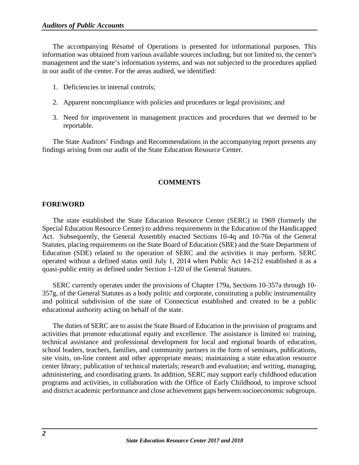The accompanying Résumé of Operations is presented for informational purposes. This information was obtained from various available sources including, but not limited to, the center's management and the state's information systems, and was not subjected to the procedures applied in our audit of the center. For the areas audited, we identified:

- 1. Deficiencies in internal controls;
- 2. Apparent noncompliance with policies and procedures or legal provisions; and
- 3. Need for improvement in management practices and procedures that we deemed to be reportable.

The State Auditors' Findings and Recommendations in the accompanying report presents any findings arising from our audit of the State Education Resource Center.

# **COMMENTS**

## <span id="page-4-1"></span><span id="page-4-0"></span>**FOREWORD**

The state established the State Education Resource Center (SERC) in 1969 (formerly the Special Education Resource Center) to address requirements in the Education of the Handicapped Act. Subsequently, the General Assembly enacted Sections 10-4q and 10-76n of the General Statutes, placing requirements on the State Board of Education (SBE) and the State Department of Education (SDE) related to the operation of SERC and the activities it may perform. SERC operated without a defined status until July 1, 2014 when Public Act 14-212 established it as a quasi-public entity as defined under Section 1-120 of the General Statutes.

SERC currently operates under the provisions of Chapter 179a, Sections 10-357a through 10- 357g, of the General Statutes as a body politic and corporate, constituting a public instrumentality and political subdivision of the state of Connecticut established and created to be a public educational authority acting on behalf of the state.

The duties of SERC are to assist the State Board of Education in the provision of programs and activities that promote educational equity and excellence. The assistance is limited to: training, technical assistance and professional development for local and regional boards of education, school leaders, teachers, families, and community partners in the form of seminars, publications, site visits, on-line content and other appropriate means; maintaining a state education resource center library; publication of technical materials; research and evaluation; and writing, managing, administering, and coordinating grants. In addition, SERC may support early childhood education programs and activities, in collaboration with the Office of Early Childhood, to improve school and district academic performance and close achievement gaps between socioeconomic subgroups.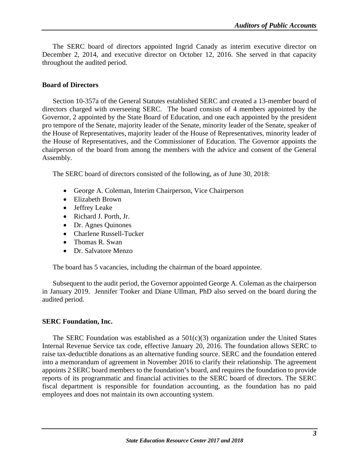The SERC board of directors appointed Ingrid Canady as interim executive director on December 2, 2014, and executive director on October 12, 2016. She served in that capacity throughout the audited period.

#### <span id="page-5-0"></span>**Board of Directors**

Section 10-357a of the General Statutes established SERC and created a 13-member board of directors charged with overseeing SERC. The board consists of 4 members appointed by the Governor, 2 appointed by the State Board of Education, and one each appointed by the president pro tempore of the Senate, majority leader of the Senate, minority leader of the Senate, speaker of the House of Representatives, majority leader of the House of Representatives, minority leader of the House of Representatives, and the Commissioner of Education. The Governor appoints the chairperson of the board from among the members with the advice and consent of the General Assembly.

The SERC board of directors consisted of the following, as of June 30, 2018:

- George A. Coleman, Interim Chairperson, Vice Chairperson
- Elizabeth Brown
- Jeffrey Leake
- Richard J. Porth, Jr.
- Dr. Agnes Quinones
- Charlene Russell-Tucker
- Thomas R. Swan
- Dr. Salvatore Menzo

The board has 5 vacancies, including the chairman of the board appointee.

Subsequent to the audit period, the Governor appointed George A. Coleman as the chairperson in January 2019. Jennifer Tooker and Diane Ullman, PhD also served on the board during the audited period.

#### <span id="page-5-1"></span>**SERC Foundation, Inc.**

The SERC Foundation was established as a  $501(c)(3)$  organization under the United States Internal Revenue Service tax code, effective January 20, 2016. The foundation allows SERC to raise tax-deductible donations as an alternative funding source. SERC and the foundation entered into a memorandum of agreement in November 2016 to clarify their relationship. The agreement appoints 2 SERC board members to the foundation's board, and requires the foundation to provide reports of its programmatic and financial activities to the SERC board of directors. The SERC fiscal department is responsible for foundation accounting, as the foundation has no paid employees and does not maintain its own accounting system.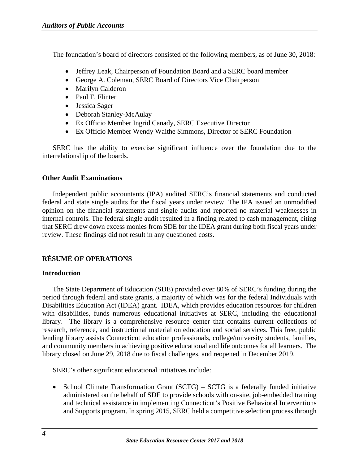The foundation's board of directors consisted of the following members, as of June 30, 2018:

- Jeffrey Leak, Chairperson of Foundation Board and a SERC board member
- George A. Coleman, SERC Board of Directors Vice Chairperson
- Marilyn Calderon
- Paul F. Flinter
- Jessica Sager
- Deborah Stanley-McAulay
- Ex Officio Member Ingrid Canady, SERC Executive Director
- Ex Officio Member Wendy Waithe Simmons, Director of SERC Foundation

SERC has the ability to exercise significant influence over the foundation due to the interrelationship of the boards.

# <span id="page-6-0"></span>**Other Audit Examinations**

Independent public accountants (IPA) audited SERC's financial statements and conducted federal and state single audits for the fiscal years under review. The IPA issued an unmodified opinion on the financial statements and single audits and reported no material weaknesses in internal controls. The federal single audit resulted in a finding related to cash management, citing that SERC drew down excess monies from SDE for the IDEA grant during both fiscal years under review. These findings did not result in any questioned costs.

# <span id="page-6-1"></span>**RÉSUMÉ OF OPERATIONS**

# <span id="page-6-2"></span>**Introduction**

The State Department of Education (SDE) provided over 80% of SERC's funding during the period through federal and state grants, a majority of which was for the federal Individuals with Disabilities Education Act (IDEA) grant. IDEA, which provides education resources for children with disabilities, funds numerous educational initiatives at SERC, including the educational library. The library is a comprehensive resource center that contains current collections of research, reference, and instructional material on education and social services. This free, public lending library assists Connecticut education professionals, college/university students, families, and community members in achieving positive educational and life outcomes for all learners. The library closed on June 29, 2018 due to fiscal challenges, and reopened in December 2019.

SERC's other significant educational initiatives include:

• School Climate Transformation Grant (SCTG) – SCTG is a federally funded initiative administered on the behalf of SDE to provide schools with on-site, job-embedded training and technical assistance in implementing Connecticut's Positive Behavioral Interventions and Supports program. In spring 2015, SERC held a competitive selection process through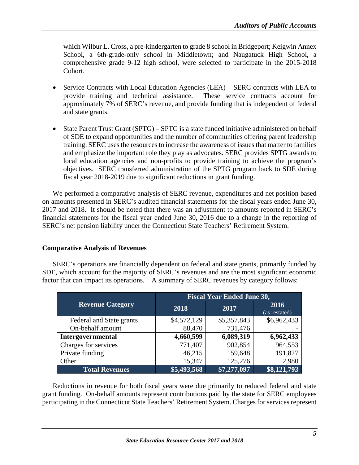which Wilbur L. Cross, a pre-kindergarten to grade 8 school in Bridgeport; Keigwin Annex School, a 6th-grade-only school in Middletown; and Naugatuck High School, a comprehensive grade 9-12 high school, were selected to participate in the 2015-2018 Cohort.

- Service Contracts with Local Education Agencies (LEA) SERC contracts with LEA to provide training and technical assistance. These service contracts account for approximately 7% of SERC's revenue, and provide funding that is independent of federal and state grants.
- State Parent Trust Grant (SPTG) SPTG is a state funded initiative administered on behalf of SDE to expand opportunities and the number of communities offering parent leadership training. SERC uses the resources to increase the awareness of issues that matter to families and emphasize the important role they play as advocates. SERC provides SPTG awards to local education agencies and non-profits to provide training to achieve the program's objectives. SERC transferred administration of the SPTG program back to SDE during fiscal year 2018-2019 due to significant reductions in grant funding.

We performed a comparative analysis of SERC revenue, expenditures and net position based on amounts presented in SERC's audited financial statements for the fiscal years ended June 30, 2017 and 2018. It should be noted that there was an adjustment to amounts reported in SERC's financial statements for the fiscal year ended June 30, 2016 due to a change in the reporting of SERC's net pension liability under the Connecticut State Teachers' Retirement System.

#### <span id="page-7-0"></span>**Comparative Analysis of Revenues**

SERC's operations are financially dependent on federal and state grants, primarily funded by SDE, which account for the majority of SERC's revenues and are the most significant economic factor that can impact its operations. A summary of SERC revenues by category follows:

|                          | <b>Fiscal Year Ended June 30,</b> |             |                       |
|--------------------------|-----------------------------------|-------------|-----------------------|
| <b>Revenue Category</b>  | 2018                              | 2017        | 2016<br>(as restated) |
| Federal and State grants | \$4,572,129                       | \$5,357,843 | \$6,962,433           |
| On-behalf amount         | 88,470                            | 731,476     |                       |
| Intergovernmental        | 4,660,599                         | 6,089,319   | 6,962,433             |
| Charges for services     | 771,407                           | 902,854     | 964,553               |
| Private funding          | 46,215                            | 159,648     | 191,827               |
| Other                    | 15,347                            | 125,276     | 2,980                 |
| <b>Total Revenues</b>    | \$5,493,568                       | \$7,277,097 | \$8,121,793           |

Reductions in revenue for both fiscal years were due primarily to reduced federal and state grant funding. On-behalf amounts represent contributions paid by the state for SERC employees participating in the Connecticut State Teachers' Retirement System. Charges for services represent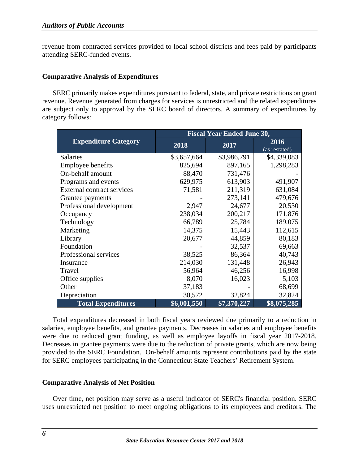revenue from contracted services provided to local school districts and fees paid by participants attending SERC-funded events.

#### <span id="page-8-0"></span>**Comparative Analysis of Expenditures**

SERC primarily makes expenditures pursuant to federal, state, and private restrictions on grant revenue. Revenue generated from charges for services is unrestricted and the related expenditures are subject only to approval by the SERC board of directors. A summary of expenditures by category follows:

|                             | <b>Fiscal Year Ended June 30,</b> |             |                       |
|-----------------------------|-----------------------------------|-------------|-----------------------|
| <b>Expenditure Category</b> | 2018                              | 2017        | 2016<br>(as restated) |
| <b>Salaries</b>             | \$3,657,664                       | \$3,986,791 | \$4,339,083           |
| <b>Employee benefits</b>    | 825,694                           | 897,165     | 1,298,283             |
| On-behalf amount            | 88,470                            | 731,476     |                       |
| Programs and events         | 629,975                           | 613,903     | 491,907               |
| External contract services  | 71,581                            | 211,319     | 631,084               |
| Grantee payments            |                                   | 273,141     | 479,676               |
| Professional development    | 2,947                             | 24,677      | 20,530                |
| Occupancy                   | 238,034                           | 200,217     | 171,876               |
| Technology                  | 66,789                            | 25,784      | 189,075               |
| Marketing                   | 14,375                            | 15,443      | 112,615               |
| Library                     | 20,677                            | 44,859      | 80,183                |
| Foundation                  |                                   | 32,537      | 69,663                |
| Professional services       | 38,525                            | 86,364      | 40,743                |
| Insurance                   | 214,030                           | 131,448     | 26,943                |
| Travel                      | 56,964                            | 46,256      | 16,998                |
| Office supplies             | 8,070                             | 16,023      | 5,103                 |
| Other                       | 37,183                            |             | 68,699                |
| Depreciation                | 30,572                            | 32,824      | 32,824                |
| <b>Total Expenditures</b>   | \$6,001,550                       | \$7,370,227 | \$8,075,285           |

Total expenditures decreased in both fiscal years reviewed due primarily to a reduction in salaries, employee benefits, and grantee payments. Decreases in salaries and employee benefits were due to reduced grant funding, as well as employee layoffs in fiscal year 2017-2018. Decreases in grantee payments were due to the reduction of private grants, which are now being provided to the SERC Foundation. On-behalf amounts represent contributions paid by the state for SERC employees participating in the Connecticut State Teachers' Retirement System.

#### <span id="page-8-1"></span>**Comparative Analysis of Net Position**

Over time, net position may serve as a useful indicator of SERC's financial position. SERC uses unrestricted net position to meet ongoing obligations to its employees and creditors. The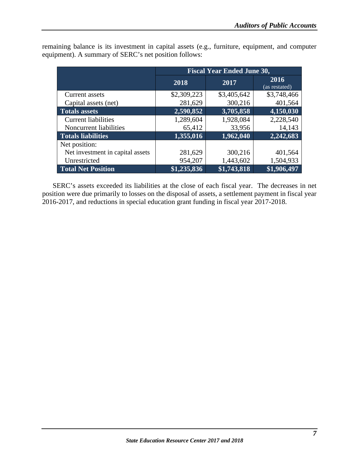|                                  | <b>Fiscal Year Ended June 30,</b> |             |                       |
|----------------------------------|-----------------------------------|-------------|-----------------------|
|                                  | 2018                              | 2017        | 2016<br>(as restated) |
| <b>Current assets</b>            | \$2,309,223                       | \$3,405,642 | \$3,748,466           |
| Capital assets (net)             | 281,629                           | 300,216     | 401,564               |
| <b>Totals assets</b>             | 2,590,852                         | 3,705,858   | 4,150,030             |
| <b>Current liabilities</b>       | 1,289,604                         | 1,928,084   | 2,228,540             |
| Noncurrent liabilities           | 65,412                            | 33,956      | 14,143                |
| <b>Totals liabilities</b>        | 1,355,016                         | 1,962,040   | 2,242,683             |
| Net position:                    |                                   |             |                       |
| Net investment in capital assets | 281,629                           | 300,216     | 401,564               |
| Unrestricted                     | 954,207                           | 1,443,602   | 1,504,933             |
| <b>Total Net Position</b>        | \$1,235,836                       | \$1,743,818 | \$1,906,497           |

remaining balance is its investment in capital assets (e.g., furniture, equipment, and computer equipment). A summary of SERC's net position follows:

SERC's assets exceeded its liabilities at the close of each fiscal year. The decreases in net position were due primarily to losses on the disposal of assets, a settlement payment in fiscal year 2016-2017, and reductions in special education grant funding in fiscal year 2017-2018.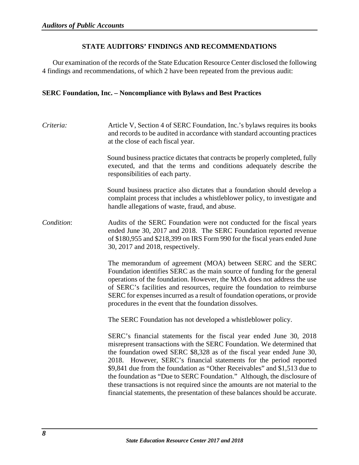# **STATE AUDITORS' FINDINGS AND RECOMMENDATIONS**

<span id="page-10-0"></span>Our examination of the records of the State Education Resource Center disclosed the following 4 findings and recommendations, of which 2 have been repeated from the previous audit:

#### <span id="page-10-1"></span>**SERC Foundation, Inc. – Noncompliance with Bylaws and Best Practices**

*Criteria:* Article V, Section 4 of SERC Foundation, Inc.'s bylaws requires its books and records to be audited in accordance with standard accounting practices at the close of each fiscal year.

> Sound business practice dictates that contracts be properly completed, fully executed, and that the terms and conditions adequately describe the responsibilities of each party.

> Sound business practice also dictates that a foundation should develop a complaint process that includes a whistleblower policy, to investigate and handle allegations of waste, fraud, and abuse.

*Condition*: Audits of the SERC Foundation were not conducted for the fiscal years ended June 30, 2017 and 2018. The SERC Foundation reported revenue of \$180,955 and \$218,399 on IRS Form 990 for the fiscal years ended June 30, 2017 and 2018, respectively.

> The memorandum of agreement (MOA) between SERC and the SERC Foundation identifies SERC as the main source of funding for the general operations of the foundation. However, the MOA does not address the use of SERC's facilities and resources, require the foundation to reimburse SERC for expenses incurred as a result of foundation operations, or provide procedures in the event that the foundation dissolves.

The SERC Foundation has not developed a whistleblower policy.

SERC's financial statements for the fiscal year ended June 30, 2018 misrepresent transactions with the SERC Foundation. We determined that the foundation owed SERC \$8,328 as of the fiscal year ended June 30, 2018. However, SERC's financial statements for the period reported \$9,841 due from the foundation as "Other Receivables" and \$1,513 due to the foundation as "Due to SERC Foundation." Although, the disclosure of these transactions is not required since the amounts are not material to the financial statements, the presentation of these balances should be accurate.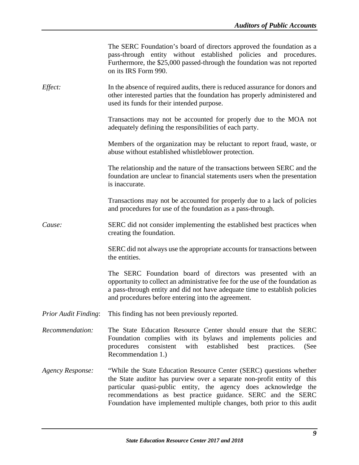|                             | The SERC Foundation's board of directors approved the foundation as a<br>pass-through entity without established policies and procedures.<br>Furthermore, the \$25,000 passed-through the foundation was not reported<br>on its IRS Form 990.                                                                                                               |
|-----------------------------|-------------------------------------------------------------------------------------------------------------------------------------------------------------------------------------------------------------------------------------------------------------------------------------------------------------------------------------------------------------|
| <i>Effect:</i>              | In the absence of required audits, there is reduced assurance for donors and<br>other interested parties that the foundation has properly administered and<br>used its funds for their intended purpose.                                                                                                                                                    |
|                             | Transactions may not be accounted for properly due to the MOA not<br>adequately defining the responsibilities of each party.                                                                                                                                                                                                                                |
|                             | Members of the organization may be reluctant to report fraud, waste, or<br>abuse without established whistleblower protection.                                                                                                                                                                                                                              |
|                             | The relationship and the nature of the transactions between SERC and the<br>foundation are unclear to financial statements users when the presentation<br>is inaccurate.                                                                                                                                                                                    |
|                             | Transactions may not be accounted for properly due to a lack of policies<br>and procedures for use of the foundation as a pass-through.                                                                                                                                                                                                                     |
| Cause:                      | SERC did not consider implementing the established best practices when<br>creating the foundation.                                                                                                                                                                                                                                                          |
|                             | SERC did not always use the appropriate accounts for transactions between<br>the entities.                                                                                                                                                                                                                                                                  |
|                             | The SERC Foundation board of directors was presented with an<br>opportunity to collect an administrative fee for the use of the foundation as<br>a pass-through entity and did not have adequate time to establish policies<br>and procedures before entering into the agreement.                                                                           |
| <b>Prior Audit Finding:</b> | This finding has not been previously reported.                                                                                                                                                                                                                                                                                                              |
| Recommendation:             | The State Education Resource Center should ensure that the SERC<br>Foundation complies with its bylaws and implements policies and<br>consistent<br>with<br>established<br>procedures<br>best<br>practices.<br>(See<br>Recommendation 1.)                                                                                                                   |
| <b>Agency Response:</b>     | "While the State Education Resource Center (SERC) questions whether<br>the State auditor has purview over a separate non-profit entity of this<br>particular quasi-public entity, the agency does acknowledge the<br>recommendations as best practice guidance. SERC and the SERC<br>Foundation have implemented multiple changes, both prior to this audit |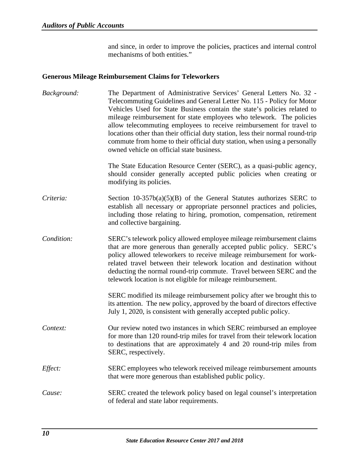and since, in order to improve the policies, practices and internal control mechanisms of both entities."

## <span id="page-12-0"></span>**Generous Mileage Reimbursement Claims for Teleworkers**

| Background: | The Department of Administrative Services' General Letters No. 32 -<br>Telecommuting Guidelines and General Letter No. 115 - Policy for Motor<br>Vehicles Used for State Business contain the state's policies related to<br>mileage reimbursement for state employees who telework. The policies<br>allow telecommuting employees to receive reimbursement for travel to<br>locations other than their official duty station, less their normal round-trip<br>commute from home to their official duty station, when using a personally<br>owned vehicle on official state business. |
|-------------|---------------------------------------------------------------------------------------------------------------------------------------------------------------------------------------------------------------------------------------------------------------------------------------------------------------------------------------------------------------------------------------------------------------------------------------------------------------------------------------------------------------------------------------------------------------------------------------|
|             | The State Education Resource Center (SERC), as a quasi-public agency,<br>should consider generally accepted public policies when creating or<br>modifying its policies.                                                                                                                                                                                                                                                                                                                                                                                                               |
| Criteria:   | Section $10-357b(a)(5)(B)$ of the General Statutes authorizes SERC to<br>establish all necessary or appropriate personnel practices and policies,<br>including those relating to hiring, promotion, compensation, retirement<br>and collective bargaining.                                                                                                                                                                                                                                                                                                                            |
| Condition:  | SERC's telework policy allowed employee mileage reimbursement claims<br>that are more generous than generally accepted public policy. SERC's<br>policy allowed teleworkers to receive mileage reimbursement for work-<br>related travel between their telework location and destination without<br>deducting the normal round-trip commute. Travel between SERC and the<br>telework location is not eligible for mileage reimbursement.                                                                                                                                               |
|             | SERC modified its mileage reimbursement policy after we brought this to<br>its attention. The new policy, approved by the board of directors effective<br>July 1, 2020, is consistent with generally accepted public policy.                                                                                                                                                                                                                                                                                                                                                          |
| Context:    | Our review noted two instances in which SERC reimbursed an employee<br>for more than 120 round-trip miles for travel from their telework location<br>to destinations that are approximately 4 and 20 round-trip miles from<br>SERC, respectively.                                                                                                                                                                                                                                                                                                                                     |
| Effect:     | SERC employees who telework received mileage reimbursement amounts<br>that were more generous than established public policy.                                                                                                                                                                                                                                                                                                                                                                                                                                                         |
| Cause:      | SERC created the telework policy based on legal counsel's interpretation<br>of federal and state labor requirements.                                                                                                                                                                                                                                                                                                                                                                                                                                                                  |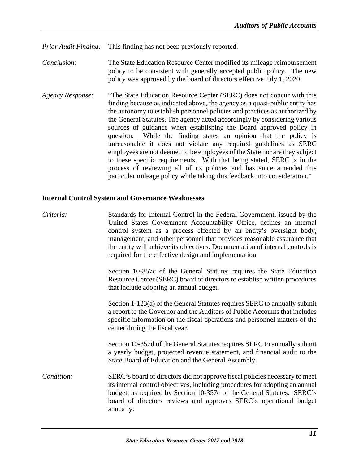*Prior Audit Finding:* This finding has not been previously reported.

- *Conclusion:* The State Education Resource Center modified its mileage reimbursement policy to be consistent with generally accepted public policy. The new policy was approved by the board of directors effective July 1, 2020.
- *Agency Response:* "The State Education Resource Center (SERC) does not concur with this finding because as indicated above, the agency as a quasi-public entity has the autonomy to establish personnel policies and practices as authorized by the General Statutes. The agency acted accordingly by considering various sources of guidance when establishing the Board approved policy in question. While the finding states an opinion that the policy is unreasonable it does not violate any required guidelines as SERC employees are not deemed to be employees of the State nor are they subject to these specific requirements. With that being stated, SERC is in the process of reviewing all of its policies and has since amended this particular mileage policy while taking this feedback into consideration."

#### <span id="page-13-0"></span>**Internal Control System and Governance Weaknesses**

| Criteria:  | Standards for Internal Control in the Federal Government, issued by the<br>United States Government Accountability Office, defines an internal<br>control system as a process effected by an entity's oversight body,<br>management, and other personnel that provides reasonable assurance that<br>the entity will achieve its objectives. Documentation of internal controls is<br>required for the effective design and implementation. |
|------------|--------------------------------------------------------------------------------------------------------------------------------------------------------------------------------------------------------------------------------------------------------------------------------------------------------------------------------------------------------------------------------------------------------------------------------------------|
|            | Section 10-357c of the General Statutes requires the State Education<br>Resource Center (SERC) board of directors to establish written procedures<br>that include adopting an annual budget.                                                                                                                                                                                                                                               |
|            | Section 1-123(a) of the General Statutes requires SERC to annually submit<br>a report to the Governor and the Auditors of Public Accounts that includes<br>specific information on the fiscal operations and personnel matters of the<br>center during the fiscal year.                                                                                                                                                                    |
|            | Section 10-357d of the General Statutes requires SERC to annually submit<br>a yearly budget, projected revenue statement, and financial audit to the<br>State Board of Education and the General Assembly.                                                                                                                                                                                                                                 |
| Condition: | SERC's board of directors did not approve fiscal policies necessary to meet<br>its internal control objectives, including procedures for adopting an annual<br>budget, as required by Section 10-357c of the General Statutes. SERC's<br>board of directors reviews and approves SERC's operational budget<br>annually.                                                                                                                    |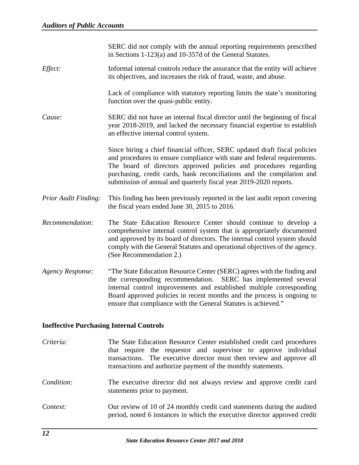|                         | SERC did not comply with the annual reporting requirements prescribed<br>in Sections 1-123(a) and 10-357d of the General Statutes.                                                                                                                                                                                                                                         |
|-------------------------|----------------------------------------------------------------------------------------------------------------------------------------------------------------------------------------------------------------------------------------------------------------------------------------------------------------------------------------------------------------------------|
| Effect:                 | Informal internal controls reduce the assurance that the entity will achieve<br>its objectives, and increases the risk of fraud, waste, and abuse.                                                                                                                                                                                                                         |
|                         | Lack of compliance with statutory reporting limits the state's monitoring<br>function over the quasi-public entity.                                                                                                                                                                                                                                                        |
| Cause:                  | SERC did not have an internal fiscal director until the beginning of fiscal<br>year 2018-2019, and lacked the necessary financial expertise to establish<br>an effective internal control system.                                                                                                                                                                          |
|                         | Since hiring a chief financial officer, SERC updated draft fiscal policies<br>and procedures to ensure compliance with state and federal requirements.<br>The board of directors approved policies and procedures regarding<br>purchasing, credit cards, bank reconciliations and the compilation and<br>submission of annual and quarterly fiscal year 2019-2020 reports. |
| Prior Audit Finding:    | This finding has been previously reported in the last audit report covering<br>the fiscal years ended June 30, 2015 to 2016.                                                                                                                                                                                                                                               |
| Recommendation:         | The State Education Resource Center should continue to develop a<br>comprehensive internal control system that is appropriately documented<br>and approved by its board of directors. The internal control system should<br>comply with the General Statutes and operational objectives of the agency.<br>(See Recommendation 2.)                                          |
| <b>Agency Response:</b> | "The State Education Resource Center (SERC) agrees with the finding and<br>the corresponding recommendation.<br>SERC has implemented several<br>internal control improvements and established multiple corresponding<br>Board approved policies in recent months and the process is ongoing to<br>ensure that compliance with the General Statutes is achieved."           |

# <span id="page-14-0"></span>**Ineffective Purchasing Internal Controls**

| Criteria:  | The State Education Resource Center established credit card procedures<br>that require the requestor and supervisor to approve individual<br>transactions. The executive director must then review and approve all<br>transactions and authorize payment of the monthly statements. |
|------------|-------------------------------------------------------------------------------------------------------------------------------------------------------------------------------------------------------------------------------------------------------------------------------------|
| Condition: | The executive director did not always review and approve credit card<br>statements prior to payment.                                                                                                                                                                                |
| Context:   | Our review of 10 of 24 monthly credit card statements during the audited<br>period, noted 6 instances in which the executive director approved credit                                                                                                                               |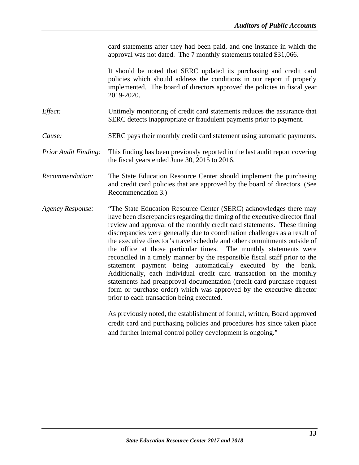card statements after they had been paid, and one instance in which the approval was not dated. The 7 monthly statements totaled \$31,066.

It should be noted that SERC updated its purchasing and credit card policies which should address the conditions in our report if properly implemented. The board of directors approved the policies in fiscal year 2019-2020.

- *Effect:* Untimely monitoring of credit card statements reduces the assurance that SERC detects inappropriate or fraudulent payments prior to payment.
- *Cause:* SERC pays their monthly credit card statement using automatic payments.
- *Prior Audit Finding:* This finding has been previously reported in the last audit report covering the fiscal years ended June 30, 2015 to 2016.
- *Recommendation:* The State Education Resource Center should implement the purchasing and credit card policies that are approved by the board of directors. (See Recommendation 3.)
- *Agency Response:* "The State Education Resource Center (SERC) acknowledges there may have been discrepancies regarding the timing of the executive director final review and approval of the monthly credit card statements. These timing discrepancies were generally due to coordination challenges as a result of the executive director's travel schedule and other commitments outside of the office at those particular times. The monthly statements were reconciled in a timely manner by the responsible fiscal staff prior to the statement payment being automatically executed by the bank. Additionally, each individual credit card transaction on the monthly statements had preapproval documentation (credit card purchase request form or purchase order) which was approved by the executive director prior to each transaction being executed.

As previously noted, the establishment of formal, written, Board approved credit card and purchasing policies and procedures has since taken place and further internal control policy development is ongoing."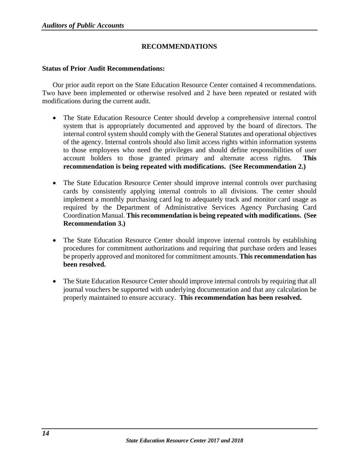# **RECOMMENDATIONS**

#### <span id="page-16-1"></span><span id="page-16-0"></span>**Status of Prior Audit Recommendations:**

Our prior audit report on the State Education Resource Center contained 4 recommendations. Two have been implemented or otherwise resolved and 2 have been repeated or restated with modifications during the current audit.

- The State Education Resource Center should develop a comprehensive internal control system that is appropriately documented and approved by the board of directors. The internal control system should comply with the General Statutes and operational objectives of the agency. Internal controls should also limit access rights within information systems to those employees who need the privileges and should define responsibilities of user account holders to those granted primary and alternate access rights. **This recommendation is being repeated with modifications. (See Recommendation 2.)**
- The State Education Resource Center should improve internal controls over purchasing cards by consistently applying internal controls to all divisions. The center should implement a monthly purchasing card log to adequately track and monitor card usage as required by the Department of Administrative Services Agency Purchasing Card Coordination Manual. **This recommendation is being repeated with modifications. (See Recommendation 3.)**
- The State Education Resource Center should improve internal controls by establishing procedures for commitment authorizations and requiring that purchase orders and leases be properly approved and monitored for commitment amounts. **This recommendation has been resolved.**
- The State Education Resource Center should improve internal controls by requiring that all journal vouchers be supported with underlying documentation and that any calculation be properly maintained to ensure accuracy. **This recommendation has been resolved.**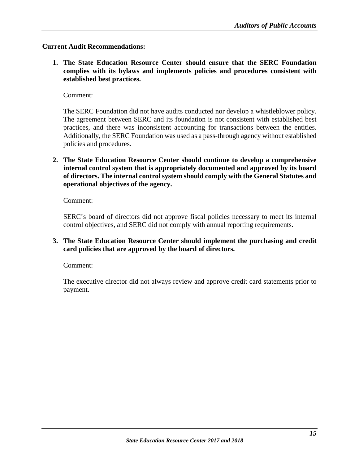## <span id="page-17-0"></span>**Current Audit Recommendations:**

**1. The State Education Resource Center should ensure that the SERC Foundation complies with its bylaws and implements policies and procedures consistent with established best practices.**

Comment:

The SERC Foundation did not have audits conducted nor develop a whistleblower policy. The agreement between SERC and its foundation is not consistent with established best practices, and there was inconsistent accounting for transactions between the entities. Additionally, the SERC Foundation was used as a pass-through agency without established policies and procedures.

**2. The State Education Resource Center should continue to develop a comprehensive internal control system that is appropriately documented and approved by its board of directors. The internal control system should comply with the General Statutes and operational objectives of the agency.**

Comment:

SERC's board of directors did not approve fiscal policies necessary to meet its internal control objectives, and SERC did not comply with annual reporting requirements.

**3. The State Education Resource Center should implement the purchasing and credit card policies that are approved by the board of directors.**

Comment:

The executive director did not always review and approve credit card statements prior to payment.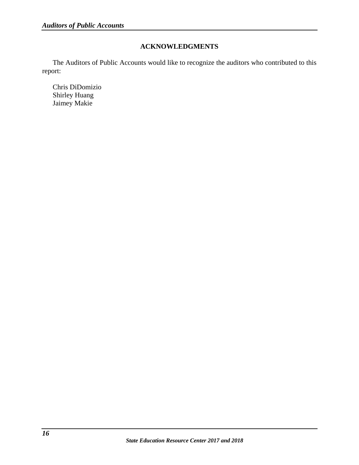# **ACKNOWLEDGMENTS**

<span id="page-18-0"></span>The Auditors of Public Accounts would like to recognize the auditors who contributed to this report:

Chris DiDomizio Shirley Huang Jaimey Makie